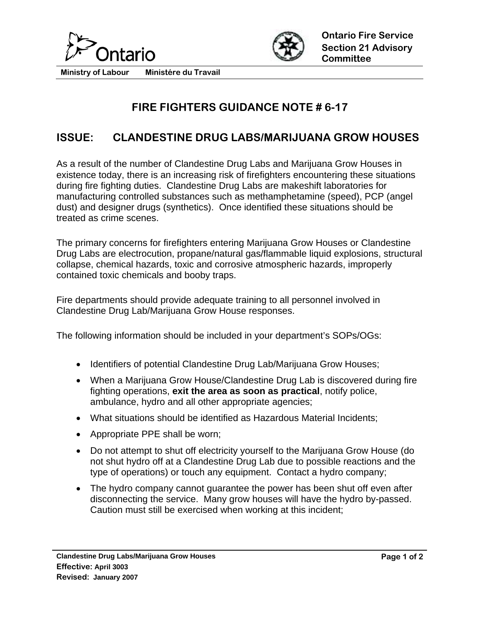



**Ministry of Labour Ministére du Travail** 

## **FIRE FIGHTERS GUIDANCE NOTE # 6-17**

## **ISSUE: CLANDESTINE DRUG LABS/MARIJUANA GROW HOUSES**

As a result of the number of Clandestine Drug Labs and Marijuana Grow Houses in existence today, there is an increasing risk of firefighters encountering these situations during fire fighting duties. Clandestine Drug Labs are makeshift laboratories for manufacturing controlled substances such as methamphetamine (speed), PCP (angel dust) and designer drugs (synthetics). Once identified these situations should be treated as crime scenes.

The primary concerns for firefighters entering Marijuana Grow Houses or Clandestine Drug Labs are electrocution, propane/natural gas/flammable liquid explosions, structural collapse, chemical hazards, toxic and corrosive atmospheric hazards, improperly contained toxic chemicals and booby traps.

Fire departments should provide adequate training to all personnel involved in Clandestine Drug Lab/Marijuana Grow House responses.

The following information should be included in your department's SOPs/OGs:

- Identifiers of potential Clandestine Drug Lab/Marijuana Grow Houses;
- When a Marijuana Grow House/Clandestine Drug Lab is discovered during fire fighting operations, **exit the area as soon as practical**, notify police, ambulance, hydro and all other appropriate agencies;
- What situations should be identified as Hazardous Material Incidents;
- Appropriate PPE shall be worn;
- Do not attempt to shut off electricity yourself to the Marijuana Grow House (do not shut hydro off at a Clandestine Drug Lab due to possible reactions and the type of operations) or touch any equipment. Contact a hydro company;
- The hydro company cannot quarantee the power has been shut off even after disconnecting the service. Many grow houses will have the hydro by-passed. Caution must still be exercised when working at this incident;